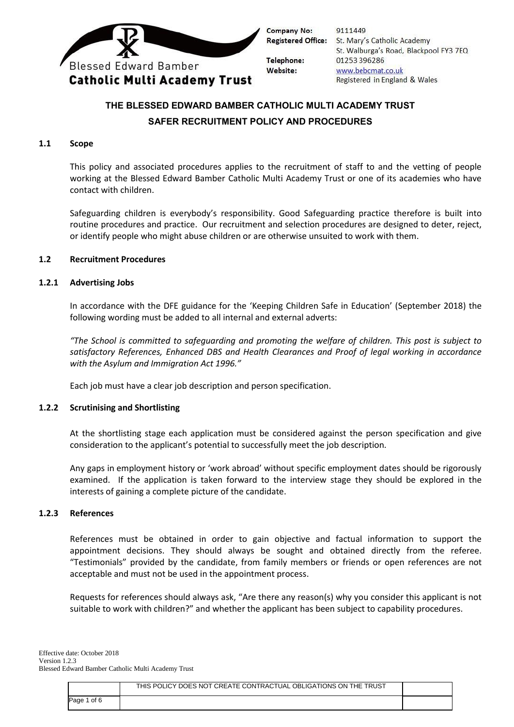

9111449 Registered Office: St. Mary's Catholic Academy St. Walburga's Road, Blackpool FY3 7EQ 01253 396286 www.bebcmat.co.uk Registered in England & Wales

# **THE BLESSED EDWARD BAMBER CATHOLIC MULTI ACADEMY TRUST SAFER RECRUITMENT POLICY AND PROCEDURES**

#### **1.1 Scope**

This policy and associated procedures applies to the recruitment of staff to and the vetting of people working at the Blessed Edward Bamber Catholic Multi Academy Trust or one of its academies who have contact with children.

Safeguarding children is everybody's responsibility. Good Safeguarding practice therefore is built into routine procedures and practice. Our recruitment and selection procedures are designed to deter, reject, or identify people who might abuse children or are otherwise unsuited to work with them.

#### **1.2 Recruitment Procedures**

#### **1.2.1 Advertising Jobs**

In accordance with the DFE guidance for the 'Keeping Children Safe in Education' (September 2018) the following wording must be added to all internal and external adverts:

*"The School is committed to safeguarding and promoting the welfare of children. This post is subject to satisfactory References, Enhanced DBS and Health Clearances and Proof of legal working in accordance with the Asylum and Immigration Act 1996."*

Each job must have a clear job description and person specification.

#### **1.2.2 Scrutinising and Shortlisting**

At the shortlisting stage each application must be considered against the person specification and give consideration to the applicant's potential to successfully meet the job description.

Any gaps in employment history or 'work abroad' without specific employment dates should be rigorously examined. If the application is taken forward to the interview stage they should be explored in the interests of gaining a complete picture of the candidate.

#### **1.2.3 References**

References must be obtained in order to gain objective and factual information to support the appointment decisions. They should always be sought and obtained directly from the referee. "Testimonials" provided by the candidate, from family members or friends or open references are not acceptable and must not be used in the appointment process.

Requests for references should always ask, "Are there any reason(s) why you consider this applicant is not suitable to work with children?" and whether the applicant has been subject to capability procedures.

|             | THIS POLICY DOES NOT CREATE CONTRACTUAL OBLIGATIONS ON THE TRUST |  |
|-------------|------------------------------------------------------------------|--|
| Page 1 of 6 |                                                                  |  |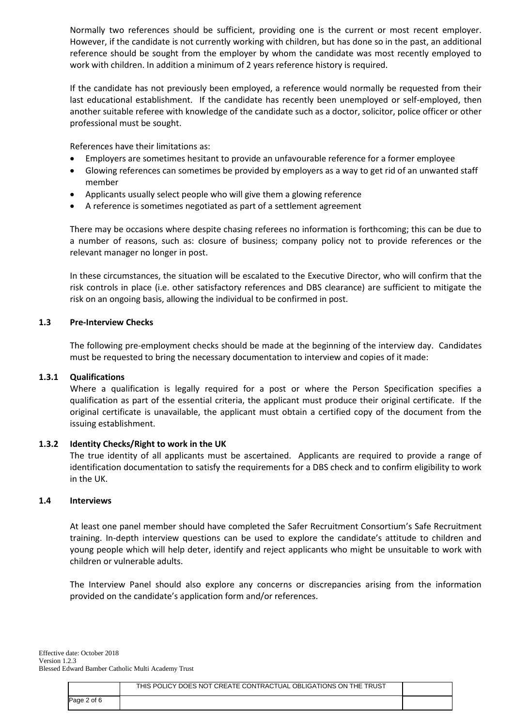Normally two references should be sufficient, providing one is the current or most recent employer. However, if the candidate is not currently working with children, but has done so in the past, an additional reference should be sought from the employer by whom the candidate was most recently employed to work with children. In addition a minimum of 2 years reference history is required.

If the candidate has not previously been employed, a reference would normally be requested from their last educational establishment. If the candidate has recently been unemployed or self-employed, then another suitable referee with knowledge of the candidate such as a doctor, solicitor, police officer or other professional must be sought.

References have their limitations as:

- Employers are sometimes hesitant to provide an unfavourable reference for a former employee
- Glowing references can sometimes be provided by employers as a way to get rid of an unwanted staff member
- Applicants usually select people who will give them a glowing reference
- A reference is sometimes negotiated as part of a settlement agreement

There may be occasions where despite chasing referees no information is forthcoming; this can be due to a number of reasons, such as: closure of business; company policy not to provide references or the relevant manager no longer in post.

In these circumstances, the situation will be escalated to the Executive Director, who will confirm that the risk controls in place (i.e. other satisfactory references and DBS clearance) are sufficient to mitigate the risk on an ongoing basis, allowing the individual to be confirmed in post.

#### **1.3 Pre-Interview Checks**

The following pre-employment checks should be made at the beginning of the interview day. Candidates must be requested to bring the necessary documentation to interview and copies of it made:

#### **1.3.1 Qualifications**

Where a qualification is legally required for a post or where the Person Specification specifies a qualification as part of the essential criteria, the applicant must produce their original certificate. If the original certificate is unavailable, the applicant must obtain a certified copy of the document from the issuing establishment.

#### **1.3.2 Identity Checks/Right to work in the UK**

The true identity of all applicants must be ascertained. Applicants are required to provide a range of identification documentation to satisfy the requirements for a DBS check and to confirm eligibility to work in the UK.

#### **1.4 Interviews**

At least one panel member should have completed the Safer Recruitment Consortium's Safe Recruitment training. In-depth interview questions can be used to explore the candidate's attitude to children and young people which will help deter, identify and reject applicants who might be unsuitable to work with children or vulnerable adults.

The Interview Panel should also explore any concerns or discrepancies arising from the information provided on the candidate's application form and/or references.

|               | THIS POLICY DOES NOT CREATE CONTRACTUAL OBLIGATIONS ON THE TRUST |  |
|---------------|------------------------------------------------------------------|--|
| 2 of 6<br>aqe |                                                                  |  |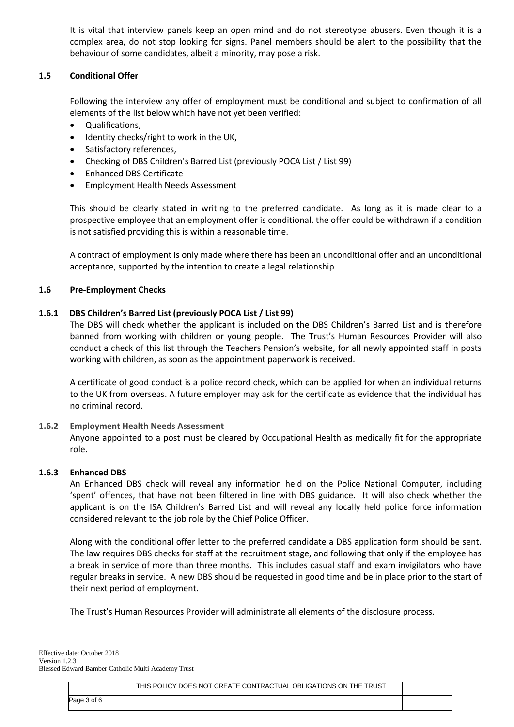It is vital that interview panels keep an open mind and do not stereotype abusers. Even though it is a complex area, do not stop looking for signs. Panel members should be alert to the possibility that the behaviour of some candidates, albeit a minority, may pose a risk.

# **1.5 Conditional Offer**

Following the interview any offer of employment must be conditional and subject to confirmation of all elements of the list below which have not yet been verified:

- Qualifications,
- Identity checks/right to work in the UK,
- Satisfactory references,
- Checking of DBS Children's Barred List (previously POCA List / List 99)
- Enhanced DBS Certificate
- Employment Health Needs Assessment

This should be clearly stated in writing to the preferred candidate. As long as it is made clear to a prospective employee that an employment offer is conditional, the offer could be withdrawn if a condition is not satisfied providing this is within a reasonable time.

A contract of employment is only made where there has been an unconditional offer and an unconditional acceptance, supported by the intention to create a legal relationship

## **1.6 Pre-Employment Checks**

#### **1.6.1 DBS Children's Barred List (previously POCA List / List 99)**

The DBS will check whether the applicant is included on the DBS Children's Barred List and is therefore banned from working with children or young people. The Trust's Human Resources Provider will also conduct a check of this list through the Teachers Pension's website, for all newly appointed staff in posts working with children, as soon as the appointment paperwork is received.

A certificate of good conduct is a police record check, which can be applied for when an individual returns to the UK from overseas. A future employer may ask for the certificate as evidence that the individual has no criminal record.

#### **1.6.2 Employment Health Needs Assessment**

Anyone appointed to a post must be cleared by Occupational Health as medically fit for the appropriate role.

#### **1.6.3 Enhanced DBS**

An Enhanced DBS check will reveal any information held on the Police National Computer, including 'spent' offences, that have not been filtered in line with DBS guidance. It will also check whether the applicant is on the ISA Children's Barred List and will reveal any locally held police force information considered relevant to the job role by the Chief Police Officer.

Along with the conditional offer letter to the preferred candidate a DBS application form should be sent. The law requires DBS checks for staff at the recruitment stage, and following that only if the employee has a break in service of more than three months. This includes casual staff and exam invigilators who have regular breaks in service. A new DBS should be requested in good time and be in place prior to the start of their next period of employment.

The Trust's Human Resources Provider will administrate all elements of the disclosure process.

|             | THIS POLICY DOES NOT CREATE CONTRACTUAL OBLIGATIONS ON THE TRUST |  |
|-------------|------------------------------------------------------------------|--|
| Page 3 of 6 |                                                                  |  |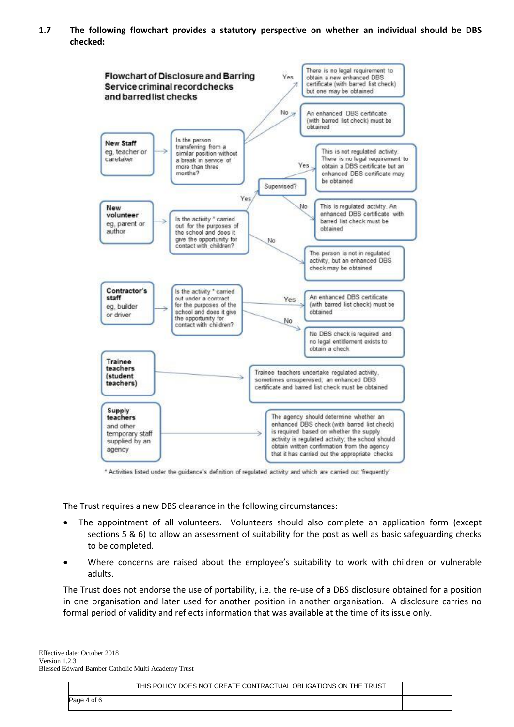**1.7 The following flowchart provides a statutory perspective on whether an individual should be DBS checked:**



\* Activities listed under the guidance's definition of regulated activity and which are carried out 'frequently'

The Trust requires a new DBS clearance in the following circumstances:

- The appointment of all volunteers. Volunteers should also complete an application form (except sections 5 & 6) to allow an assessment of suitability for the post as well as basic safeguarding checks to be completed.
- Where concerns are raised about the employee's suitability to work with children or vulnerable adults.

The Trust does not endorse the use of portability, i.e. the re-use of a DBS disclosure obtained for a position in one organisation and later used for another position in another organisation. A disclosure carries no formal period of validity and reflects information that was available at the time of its issue only.

|             | THIS POLICY DOES NOT CREATE CONTRACTUAL OBLIGATIONS ON THE TRUST |  |
|-------------|------------------------------------------------------------------|--|
| Page 4 of 6 |                                                                  |  |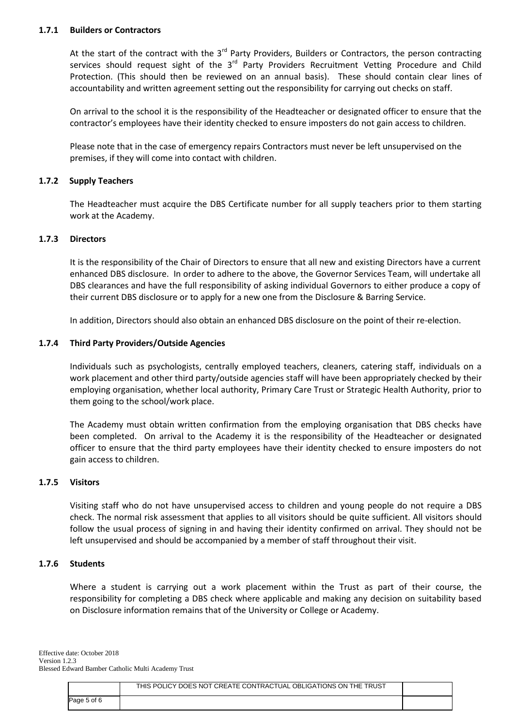## **1.7.1 Builders or Contractors**

At the start of the contract with the 3<sup>rd</sup> Party Providers, Builders or Contractors, the person contracting services should request sight of the 3<sup>rd</sup> Party Providers Recruitment Vetting Procedure and Child Protection. (This should then be reviewed on an annual basis). These should contain clear lines of accountability and written agreement setting out the responsibility for carrying out checks on staff.

On arrival to the school it is the responsibility of the Headteacher or designated officer to ensure that the contractor's employees have their identity checked to ensure imposters do not gain access to children.

Please note that in the case of emergency repairs Contractors must never be left unsupervised on the premises, if they will come into contact with children.

# **1.7.2 Supply Teachers**

The Headteacher must acquire the DBS Certificate number for all supply teachers prior to them starting work at the Academy.

#### **1.7.3 Directors**

It is the responsibility of the Chair of Directors to ensure that all new and existing Directors have a current enhanced DBS disclosure. In order to adhere to the above, the Governor Services Team, will undertake all DBS clearances and have the full responsibility of asking individual Governors to either produce a copy of their current DBS disclosure or to apply for a new one from the Disclosure & Barring Service.

In addition, Directors should also obtain an enhanced DBS disclosure on the point of their re-election.

# **1.7.4 Third Party Providers/Outside Agencies**

Individuals such as psychologists, centrally employed teachers, cleaners, catering staff, individuals on a work placement and other third party/outside agencies staff will have been appropriately checked by their employing organisation, whether local authority, Primary Care Trust or Strategic Health Authority, prior to them going to the school/work place.

The Academy must obtain written confirmation from the employing organisation that DBS checks have been completed. On arrival to the Academy it is the responsibility of the Headteacher or designated officer to ensure that the third party employees have their identity checked to ensure imposters do not gain access to children.

#### **1.7.5 Visitors**

Visiting staff who do not have unsupervised access to children and young people do not require a DBS check. The normal risk assessment that applies to all visitors should be quite sufficient. All visitors should follow the usual process of signing in and having their identity confirmed on arrival. They should not be left unsupervised and should be accompanied by a member of staff throughout their visit.

## **1.7.6 Students**

Where a student is carrying out a work placement within the Trust as part of their course, the responsibility for completing a DBS check where applicable and making any decision on suitability based on Disclosure information remains that of the University or College or Academy.

|             | THIS POLICY DOES NOT CREATE CONTRACTUAL OBLIGATIONS ON THE TRUST |  |
|-------------|------------------------------------------------------------------|--|
| Page 5 of 6 |                                                                  |  |